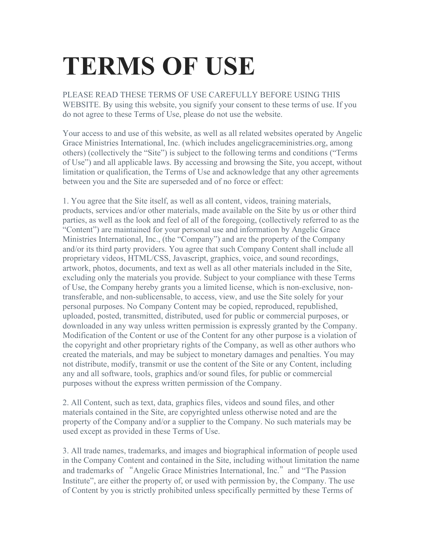## **TERMS OF USE**

PLEASE READ THESE TERMS OF USE CAREFULLY BEFORE USING THIS WEBSITE. By using this website, you signify your consent to these terms of use. If you do not agree to these Terms of Use, please do not use the website.

Your access to and use of this website, as well as all related websites operated by Angelic Grace Ministries International, Inc. (which includes angelicgraceministries.org, among others) (collectively the "Site") is subject to the following terms and conditions ("Terms of Use") and all applicable laws. By accessing and browsing the Site, you accept, without limitation or qualification, the Terms of Use and acknowledge that any other agreements between you and the Site are superseded and of no force or effect:

1. You agree that the Site itself, as well as all content, videos, training materials, products, services and/or other materials, made available on the Site by us or other third parties, as well as the look and feel of all of the foregoing, (collectively referred to as the "Content") are maintained for your personal use and information by Angelic Grace Ministries International, Inc., (the "Company") and are the property of the Company and/or its third party providers. You agree that such Company Content shall include all proprietary videos, HTML/CSS, Javascript, graphics, voice, and sound recordings, artwork, photos, documents, and text as well as all other materials included in the Site, excluding only the materials you provide. Subject to your compliance with these Terms of Use, the Company hereby grants you a limited license, which is non-exclusive, nontransferable, and non-sublicensable, to access, view, and use the Site solely for your personal purposes. No Company Content may be copied, reproduced, republished, uploaded, posted, transmitted, distributed, used for public or commercial purposes, or downloaded in any way unless written permission is expressly granted by the Company. Modification of the Content or use of the Content for any other purpose is a violation of the copyright and other proprietary rights of the Company, as well as other authors who created the materials, and may be subject to monetary damages and penalties. You may not distribute, modify, transmit or use the content of the Site or any Content, including any and all software, tools, graphics and/or sound files, for public or commercial purposes without the express written permission of the Company.

2. All Content, such as text, data, graphics files, videos and sound files, and other materials contained in the Site, are copyrighted unless otherwise noted and are the property of the Company and/or a supplier to the Company. No such materials may be used except as provided in these Terms of Use.

3. All trade names, trademarks, and images and biographical information of people used in the Company Content and contained in the Site, including without limitation the name and trademarks of "Angelic Grace Ministries International, Inc." and "The Passion Institute", are either the property of, or used with permission by, the Company. The use of Content by you is strictly prohibited unless specifically permitted by these Terms of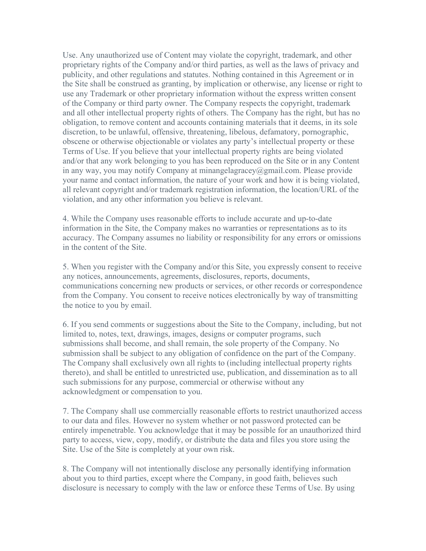Use. Any unauthorized use of Content may violate the copyright, trademark, and other proprietary rights of the Company and/or third parties, as well as the laws of privacy and publicity, and other regulations and statutes. Nothing contained in this Agreement or in the Site shall be construed as granting, by implication or otherwise, any license or right to use any Trademark or other proprietary information without the express written consent of the Company or third party owner. The Company respects the copyright, trademark and all other intellectual property rights of others. The Company has the right, but has no obligation, to remove content and accounts containing materials that it deems, in its sole discretion, to be unlawful, offensive, threatening, libelous, defamatory, pornographic, obscene or otherwise objectionable or violates any party's intellectual property or these Terms of Use. If you believe that your intellectual property rights are being violated and/or that any work belonging to you has been reproduced on the Site or in any Content in any way, you may notify Company at minangelagracey@gmail.com. Please provide your name and contact information, the nature of your work and how it is being violated, all relevant copyright and/or trademark registration information, the location/URL of the violation, and any other information you believe is relevant.

4. While the Company uses reasonable efforts to include accurate and up-to-date information in the Site, the Company makes no warranties or representations as to its accuracy. The Company assumes no liability or responsibility for any errors or omissions in the content of the Site.

5. When you register with the Company and/or this Site, you expressly consent to receive any notices, announcements, agreements, disclosures, reports, documents, communications concerning new products or services, or other records or correspondence from the Company. You consent to receive notices electronically by way of transmitting the notice to you by email.

6. If you send comments or suggestions about the Site to the Company, including, but not limited to, notes, text, drawings, images, designs or computer programs, such submissions shall become, and shall remain, the sole property of the Company. No submission shall be subject to any obligation of confidence on the part of the Company. The Company shall exclusively own all rights to (including intellectual property rights thereto), and shall be entitled to unrestricted use, publication, and dissemination as to all such submissions for any purpose, commercial or otherwise without any acknowledgment or compensation to you.

7. The Company shall use commercially reasonable efforts to restrict unauthorized access to our data and files. However no system whether or not password protected can be entirely impenetrable. You acknowledge that it may be possible for an unauthorized third party to access, view, copy, modify, or distribute the data and files you store using the Site. Use of the Site is completely at your own risk.

8. The Company will not intentionally disclose any personally identifying information about you to third parties, except where the Company, in good faith, believes such disclosure is necessary to comply with the law or enforce these Terms of Use. By using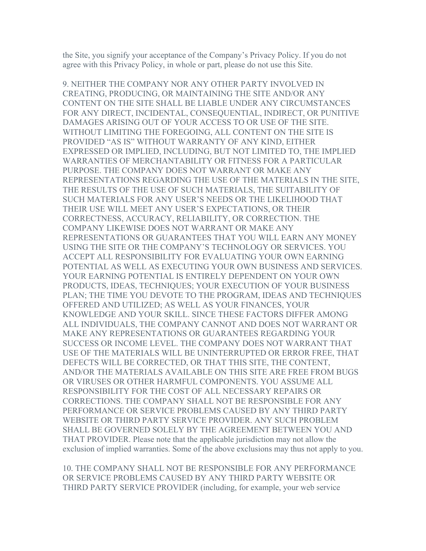the Site, you signify your acceptance of the Company's Privacy Policy. If you do not agree with this Privacy Policy, in whole or part, please do not use this Site.

9. NEITHER THE COMPANY NOR ANY OTHER PARTY INVOLVED IN CREATING, PRODUCING, OR MAINTAINING THE SITE AND/OR ANY CONTENT ON THE SITE SHALL BE LIABLE UNDER ANY CIRCUMSTANCES FOR ANY DIRECT, INCIDENTAL, CONSEQUENTIAL, INDIRECT, OR PUNITIVE DAMAGES ARISING OUT OF YOUR ACCESS TO OR USE OF THE SITE. WITHOUT LIMITING THE FOREGOING, ALL CONTENT ON THE SITE IS PROVIDED "AS IS" WITHOUT WARRANTY OF ANY KIND, EITHER EXPRESSED OR IMPLIED, INCLUDING, BUT NOT LIMITED TO, THE IMPLIED WARRANTIES OF MERCHANTABILITY OR FITNESS FOR A PARTICULAR PURPOSE. THE COMPANY DOES NOT WARRANT OR MAKE ANY REPRESENTATIONS REGARDING THE USE OF THE MATERIALS IN THE SITE, THE RESULTS OF THE USE OF SUCH MATERIALS, THE SUITABILITY OF SUCH MATERIALS FOR ANY USER'S NEEDS OR THE LIKELIHOOD THAT THEIR USE WILL MEET ANY USER'S EXPECTATIONS, OR THEIR CORRECTNESS, ACCURACY, RELIABILITY, OR CORRECTION. THE COMPANY LIKEWISE DOES NOT WARRANT OR MAKE ANY REPRESENTATIONS OR GUARANTEES THAT YOU WILL EARN ANY MONEY USING THE SITE OR THE COMPANY'S TECHNOLOGY OR SERVICES. YOU ACCEPT ALL RESPONSIBILITY FOR EVALUATING YOUR OWN EARNING POTENTIAL AS WELL AS EXECUTING YOUR OWN BUSINESS AND SERVICES. YOUR EARNING POTENTIAL IS ENTIRELY DEPENDENT ON YOUR OWN PRODUCTS, IDEAS, TECHNIQUES; YOUR EXECUTION OF YOUR BUSINESS PLAN; THE TIME YOU DEVOTE TO THE PROGRAM, IDEAS AND TECHNIQUES OFFERED AND UTILIZED; AS WELL AS YOUR FINANCES, YOUR KNOWLEDGE AND YOUR SKILL. SINCE THESE FACTORS DIFFER AMONG ALL INDIVIDUALS, THE COMPANY CANNOT AND DOES NOT WARRANT OR MAKE ANY REPRESENTATIONS OR GUARANTEES REGARDING YOUR SUCCESS OR INCOME LEVEL. THE COMPANY DOES NOT WARRANT THAT USE OF THE MATERIALS WILL BE UNINTERRUPTED OR ERROR FREE, THAT DEFECTS WILL BE CORRECTED, OR THAT THIS SITE, THE CONTENT, AND/OR THE MATERIALS AVAILABLE ON THIS SITE ARE FREE FROM BUGS OR VIRUSES OR OTHER HARMFUL COMPONENTS. YOU ASSUME ALL RESPONSIBILITY FOR THE COST OF ALL NECESSARY REPAIRS OR CORRECTIONS. THE COMPANY SHALL NOT BE RESPONSIBLE FOR ANY PERFORMANCE OR SERVICE PROBLEMS CAUSED BY ANY THIRD PARTY WEBSITE OR THIRD PARTY SERVICE PROVIDER. ANY SUCH PROBLEM SHALL BE GOVERNED SOLELY BY THE AGREEMENT BETWEEN YOU AND THAT PROVIDER. Please note that the applicable jurisdiction may not allow the exclusion of implied warranties. Some of the above exclusions may thus not apply to you.

10. THE COMPANY SHALL NOT BE RESPONSIBLE FOR ANY PERFORMANCE OR SERVICE PROBLEMS CAUSED BY ANY THIRD PARTY WEBSITE OR THIRD PARTY SERVICE PROVIDER (including, for example, your web service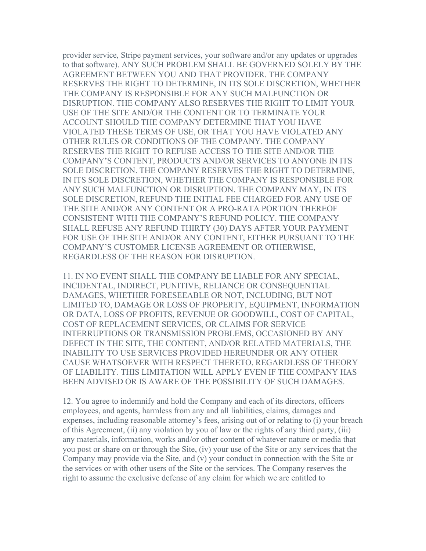provider service, Stripe payment services, your software and/or any updates or upgrades to that software). ANY SUCH PROBLEM SHALL BE GOVERNED SOLELY BY THE AGREEMENT BETWEEN YOU AND THAT PROVIDER. THE COMPANY RESERVES THE RIGHT TO DETERMINE, IN ITS SOLE DISCRETION, WHETHER THE COMPANY IS RESPONSIBLE FOR ANY SUCH MALFUNCTION OR DISRUPTION. THE COMPANY ALSO RESERVES THE RIGHT TO LIMIT YOUR USE OF THE SITE AND/OR THE CONTENT OR TO TERMINATE YOUR ACCOUNT SHOULD THE COMPANY DETERMINE THAT YOU HAVE VIOLATED THESE TERMS OF USE, OR THAT YOU HAVE VIOLATED ANY OTHER RULES OR CONDITIONS OF THE COMPANY. THE COMPANY RESERVES THE RIGHT TO REFUSE ACCESS TO THE SITE AND/OR THE COMPANY'S CONTENT, PRODUCTS AND/OR SERVICES TO ANYONE IN ITS SOLE DISCRETION. THE COMPANY RESERVES THE RIGHT TO DETERMINE, IN ITS SOLE DISCRETION, WHETHER THE COMPANY IS RESPONSIBLE FOR ANY SUCH MALFUNCTION OR DISRUPTION. THE COMPANY MAY, IN ITS SOLE DISCRETION, REFUND THE INITIAL FEE CHARGED FOR ANY USE OF THE SITE AND/OR ANY CONTENT OR A PRO-RATA PORTION THEREOF CONSISTENT WITH THE COMPANY'S REFUND POLICY. THE COMPANY SHALL REFUSE ANY REFUND THIRTY (30) DAYS AFTER YOUR PAYMENT FOR USE OF THE SITE AND/OR ANY CONTENT, EITHER PURSUANT TO THE COMPANY'S CUSTOMER LICENSE AGREEMENT OR OTHERWISE, REGARDLESS OF THE REASON FOR DISRUPTION.

11. IN NO EVENT SHALL THE COMPANY BE LIABLE FOR ANY SPECIAL, INCIDENTAL, INDIRECT, PUNITIVE, RELIANCE OR CONSEQUENTIAL DAMAGES, WHETHER FORESEEABLE OR NOT, INCLUDING, BUT NOT LIMITED TO, DAMAGE OR LOSS OF PROPERTY, EQUIPMENT, INFORMATION OR DATA, LOSS OF PROFITS, REVENUE OR GOODWILL, COST OF CAPITAL, COST OF REPLACEMENT SERVICES, OR CLAIMS FOR SERVICE INTERRUPTIONS OR TRANSMISSION PROBLEMS, OCCASIONED BY ANY DEFECT IN THE SITE, THE CONTENT, AND/OR RELATED MATERIALS, THE INABILITY TO USE SERVICES PROVIDED HEREUNDER OR ANY OTHER CAUSE WHATSOEVER WITH RESPECT THERETO, REGARDLESS OF THEORY OF LIABILITY. THIS LIMITATION WILL APPLY EVEN IF THE COMPANY HAS BEEN ADVISED OR IS AWARE OF THE POSSIBILITY OF SUCH DAMAGES.

12. You agree to indemnify and hold the Company and each of its directors, officers employees, and agents, harmless from any and all liabilities, claims, damages and expenses, including reasonable attorney's fees, arising out of or relating to (i) your breach of this Agreement, (ii) any violation by you of law or the rights of any third party, (iii) any materials, information, works and/or other content of whatever nature or media that you post or share on or through the Site, (iv) your use of the Site or any services that the Company may provide via the Site, and (v) your conduct in connection with the Site or the services or with other users of the Site or the services. The Company reserves the right to assume the exclusive defense of any claim for which we are entitled to